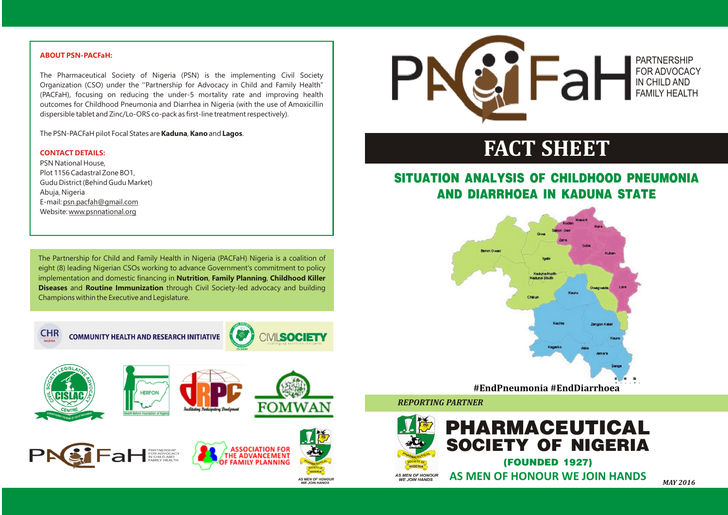

# **SITUATION ANALYSIS OF CHILDHOOD PNEUMONIA AND DIARRHOEA IN KADUNA STATE**



*REPORTING PARTNER* 

# **FACT SHEET**

The Partnership for Child and Family Health in Nigeria (PACFaH) Nigeria is a coalition of eight (8) leading Nigerian CSOs working to advance Government's commitment to policy implementation and domestic financing in **Nutrition**, **Family Planning**, **Childhood Killer Diseases** and **Routine Immunization** through Civil Society-led advocacy and building Champions within the Executive and Legislature.



**COMMUNITY HEALTH AND RESEARCH INITIATIVE** 















**AS MEN OF HONOL<br>WE JOIN HANDS** 



*MAY 2016*

# PARTNERSHIP FOR ADVOCACY IN CHILD AND FAMILY HEALTH

### **ABOUT PSN-PACFaH:**

#### **CONTACT DETAILS:**

The Pharmaceutical Society of Nigeria (PSN) is the implementing Civil Society Organization (CSO) under the ''Partnership for Advocacy in Child and Family Health" (PACFaH), focusing on reducing the under-5 mortality rate and improving health outcomes for Childhood Pneumonia and Diarrhea in Nigeria (with the use of Amoxicillin dispersible tablet and Zinc/Lo-ORS co-pack as first-line treatment respectively).

The PSN-PACFaH pilot Focal States are **Kaduna**, **Kano** and **Lagos**.

PSN National House, Plot 1156 Cadastral Zone BO1, Gudu District (Behind Gudu Market) Abuja, Nigeria E-mail: psn.pacfah@gmail.com Website: www.psnnational.org

**#EndPneumonia #EndDiarrhoea**